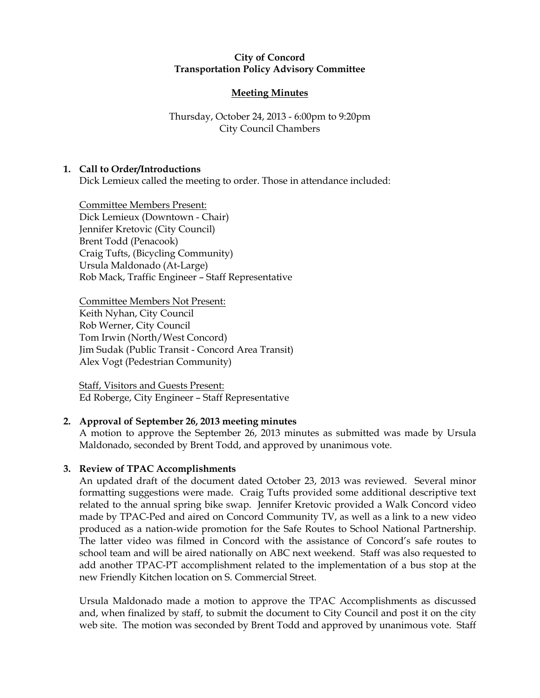### City of Concord Transportation Policy Advisory Committee

# Meeting Minutes

# Thursday, October 24, 2013 - 6:00pm to 9:20pm City Council Chambers

## 1. Call to Order/Introductions

Dick Lemieux called the meeting to order. Those in attendance included:

Committee Members Present: Dick Lemieux (Downtown - Chair) Jennifer Kretovic (City Council) Brent Todd (Penacook) Craig Tufts, (Bicycling Community) Ursula Maldonado (At-Large) Rob Mack, Traffic Engineer – Staff Representative

Committee Members Not Present: Keith Nyhan, City Council Rob Werner, City Council Tom Irwin (North/West Concord) Jim Sudak (Public Transit - Concord Area Transit) Alex Vogt (Pedestrian Community)

Staff, Visitors and Guests Present: Ed Roberge, City Engineer – Staff Representative

## 2. Approval of September 26, 2013 meeting minutes

A motion to approve the September 26, 2013 minutes as submitted was made by Ursula Maldonado, seconded by Brent Todd, and approved by unanimous vote.

## 3. Review of TPAC Accomplishments

An updated draft of the document dated October 23, 2013 was reviewed. Several minor formatting suggestions were made. Craig Tufts provided some additional descriptive text related to the annual spring bike swap. Jennifer Kretovic provided a Walk Concord video made by TPAC-Ped and aired on Concord Community TV, as well as a link to a new video produced as a nation-wide promotion for the Safe Routes to School National Partnership. The latter video was filmed in Concord with the assistance of Concord's safe routes to school team and will be aired nationally on ABC next weekend. Staff was also requested to add another TPAC-PT accomplishment related to the implementation of a bus stop at the new Friendly Kitchen location on S. Commercial Street.

Ursula Maldonado made a motion to approve the TPAC Accomplishments as discussed and, when finalized by staff, to submit the document to City Council and post it on the city web site. The motion was seconded by Brent Todd and approved by unanimous vote. Staff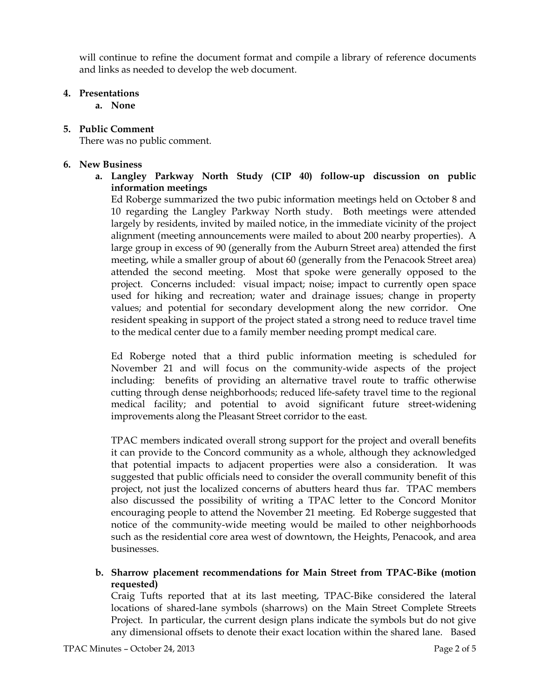will continue to refine the document format and compile a library of reference documents and links as needed to develop the web document.

### 4. Presentations

a. None

5. Public Comment

There was no public comment.

### 6. New Business

a. Langley Parkway North Study (CIP 40) follow-up discussion on public information meetings

Ed Roberge summarized the two pubic information meetings held on October 8 and 10 regarding the Langley Parkway North study. Both meetings were attended largely by residents, invited by mailed notice, in the immediate vicinity of the project alignment (meeting announcements were mailed to about 200 nearby properties). A large group in excess of 90 (generally from the Auburn Street area) attended the first meeting, while a smaller group of about 60 (generally from the Penacook Street area) attended the second meeting. Most that spoke were generally opposed to the project. Concerns included: visual impact; noise; impact to currently open space used for hiking and recreation; water and drainage issues; change in property values; and potential for secondary development along the new corridor. One resident speaking in support of the project stated a strong need to reduce travel time to the medical center due to a family member needing prompt medical care.

Ed Roberge noted that a third public information meeting is scheduled for November 21 and will focus on the community-wide aspects of the project including: benefits of providing an alternative travel route to traffic otherwise cutting through dense neighborhoods; reduced life-safety travel time to the regional medical facility; and potential to avoid significant future street-widening improvements along the Pleasant Street corridor to the east.

TPAC members indicated overall strong support for the project and overall benefits it can provide to the Concord community as a whole, although they acknowledged that potential impacts to adjacent properties were also a consideration. It was suggested that public officials need to consider the overall community benefit of this project, not just the localized concerns of abutters heard thus far. TPAC members also discussed the possibility of writing a TPAC letter to the Concord Monitor encouraging people to attend the November 21 meeting. Ed Roberge suggested that notice of the community-wide meeting would be mailed to other neighborhoods such as the residential core area west of downtown, the Heights, Penacook, and area businesses.

b. Sharrow placement recommendations for Main Street from TPAC-Bike (motion requested)

Craig Tufts reported that at its last meeting, TPAC-Bike considered the lateral locations of shared-lane symbols (sharrows) on the Main Street Complete Streets Project. In particular, the current design plans indicate the symbols but do not give any dimensional offsets to denote their exact location within the shared lane. Based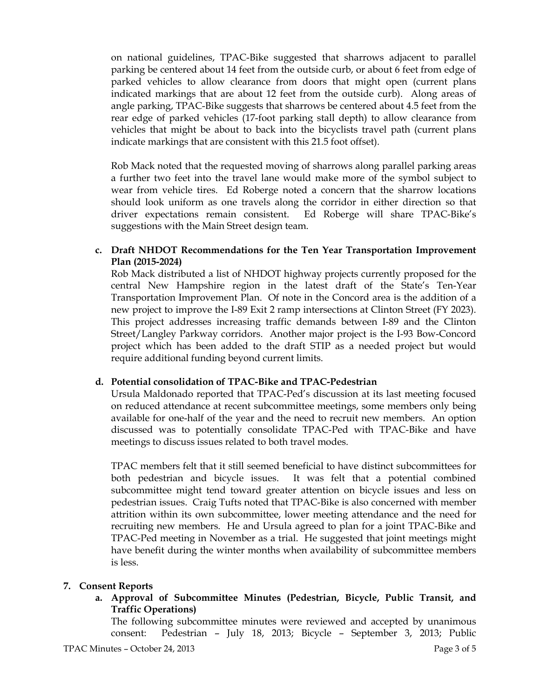on national guidelines, TPAC-Bike suggested that sharrows adjacent to parallel parking be centered about 14 feet from the outside curb, or about 6 feet from edge of parked vehicles to allow clearance from doors that might open (current plans indicated markings that are about 12 feet from the outside curb). Along areas of angle parking, TPAC-Bike suggests that sharrows be centered about 4.5 feet from the rear edge of parked vehicles (17-foot parking stall depth) to allow clearance from vehicles that might be about to back into the bicyclists travel path (current plans indicate markings that are consistent with this 21.5 foot offset).

Rob Mack noted that the requested moving of sharrows along parallel parking areas a further two feet into the travel lane would make more of the symbol subject to wear from vehicle tires. Ed Roberge noted a concern that the sharrow locations should look uniform as one travels along the corridor in either direction so that driver expectations remain consistent. Ed Roberge will share TPAC-Bike's suggestions with the Main Street design team.

# c. Draft NHDOT Recommendations for the Ten Year Transportation Improvement Plan (2015-2024)

Rob Mack distributed a list of NHDOT highway projects currently proposed for the central New Hampshire region in the latest draft of the State's Ten-Year Transportation Improvement Plan. Of note in the Concord area is the addition of a new project to improve the I-89 Exit 2 ramp intersections at Clinton Street (FY 2023). This project addresses increasing traffic demands between I-89 and the Clinton Street/Langley Parkway corridors. Another major project is the I-93 Bow-Concord project which has been added to the draft STIP as a needed project but would require additional funding beyond current limits.

## d. Potential consolidation of TPAC-Bike and TPAC-Pedestrian

Ursula Maldonado reported that TPAC-Ped's discussion at its last meeting focused on reduced attendance at recent subcommittee meetings, some members only being available for one-half of the year and the need to recruit new members. An option discussed was to potentially consolidate TPAC-Ped with TPAC-Bike and have meetings to discuss issues related to both travel modes.

TPAC members felt that it still seemed beneficial to have distinct subcommittees for both pedestrian and bicycle issues. It was felt that a potential combined subcommittee might tend toward greater attention on bicycle issues and less on pedestrian issues. Craig Tufts noted that TPAC-Bike is also concerned with member attrition within its own subcommittee, lower meeting attendance and the need for recruiting new members. He and Ursula agreed to plan for a joint TPAC-Bike and TPAC-Ped meeting in November as a trial. He suggested that joint meetings might have benefit during the winter months when availability of subcommittee members is less.

### 7. Consent Reports

a. Approval of Subcommittee Minutes (Pedestrian, Bicycle, Public Transit, and Traffic Operations)

The following subcommittee minutes were reviewed and accepted by unanimous consent: Pedestrian – July 18, 2013; Bicycle – September 3, 2013; Public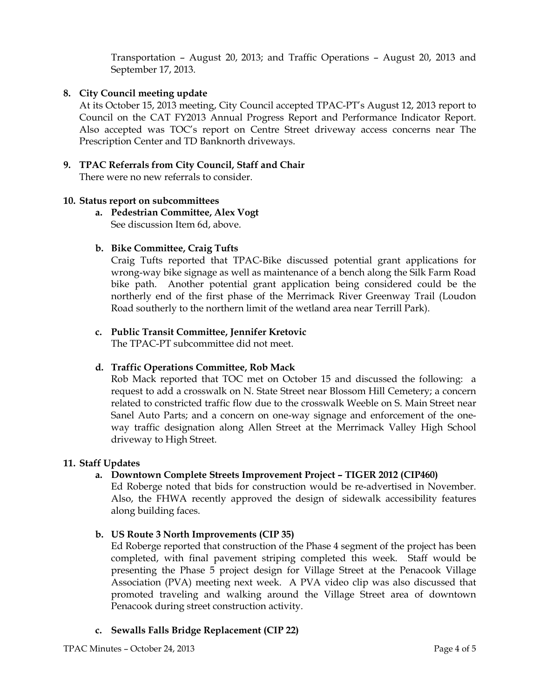Transportation – August 20, 2013; and Traffic Operations – August 20, 2013 and September 17, 2013.

## 8. City Council meeting update

At its October 15, 2013 meeting, City Council accepted TPAC-PT's August 12, 2013 report to Council on the CAT FY2013 Annual Progress Report and Performance Indicator Report. Also accepted was TOC's report on Centre Street driveway access concerns near The Prescription Center and TD Banknorth driveways.

# 9. TPAC Referrals from City Council, Staff and Chair

There were no new referrals to consider.

### 10. Status report on subcommittees

a. Pedestrian Committee, Alex Vogt See discussion Item 6d, above.

### b. Bike Committee, Craig Tufts

Craig Tufts reported that TPAC-Bike discussed potential grant applications for wrong-way bike signage as well as maintenance of a bench along the Silk Farm Road bike path. Another potential grant application being considered could be the northerly end of the first phase of the Merrimack River Greenway Trail (Loudon Road southerly to the northern limit of the wetland area near Terrill Park).

## c. Public Transit Committee, Jennifer Kretovic

The TPAC-PT subcommittee did not meet.

### d. Traffic Operations Committee, Rob Mack

Rob Mack reported that TOC met on October 15 and discussed the following: a request to add a crosswalk on N. State Street near Blossom Hill Cemetery; a concern related to constricted traffic flow due to the crosswalk Weeble on S. Main Street near Sanel Auto Parts; and a concern on one-way signage and enforcement of the oneway traffic designation along Allen Street at the Merrimack Valley High School driveway to High Street.

### 11. Staff Updates

## a. Downtown Complete Streets Improvement Project – TIGER 2012 (CIP460)

Ed Roberge noted that bids for construction would be re-advertised in November. Also, the FHWA recently approved the design of sidewalk accessibility features along building faces.

## b. US Route 3 North Improvements (CIP 35)

Ed Roberge reported that construction of the Phase 4 segment of the project has been completed, with final pavement striping completed this week. Staff would be presenting the Phase 5 project design for Village Street at the Penacook Village Association (PVA) meeting next week. A PVA video clip was also discussed that promoted traveling and walking around the Village Street area of downtown Penacook during street construction activity.

c. Sewalls Falls Bridge Replacement (CIP 22)